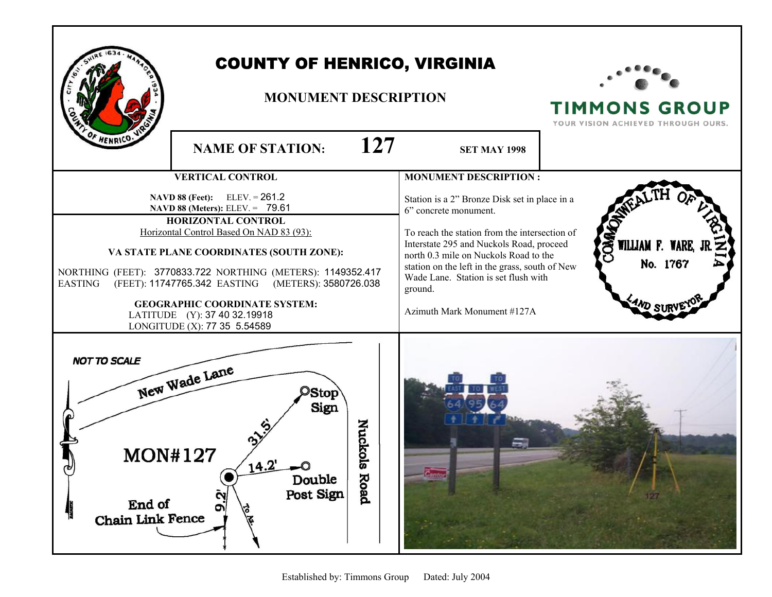| F HENRICO                                                           | <b>COUNTY OF HENRICO, VIRGINIA</b><br><b>MONUMENT DESCRIPTION</b><br>127<br><b>NAME OF STATION:</b>                                                                                                                                                                                                                                                                                                                    | <b>TIMMONS GROUP</b><br>YOUR VISION ACHIEVED THROUGH OURS.                                                                                                                                                                                                                                                                                       |                                   |
|---------------------------------------------------------------------|------------------------------------------------------------------------------------------------------------------------------------------------------------------------------------------------------------------------------------------------------------------------------------------------------------------------------------------------------------------------------------------------------------------------|--------------------------------------------------------------------------------------------------------------------------------------------------------------------------------------------------------------------------------------------------------------------------------------------------------------------------------------------------|-----------------------------------|
|                                                                     | <b>VERTICAL CONTROL</b>                                                                                                                                                                                                                                                                                                                                                                                                | <b>MONUMENT DESCRIPTION:</b>                                                                                                                                                                                                                                                                                                                     |                                   |
| <b>EASTING</b>                                                      | $ELEV = 261.2$<br><b>NAVD 88 (Feet):</b><br>NAVD 88 (Meters): ELEV. = 79.61<br>HORIZONTAL CONTROL<br>Horizontal Control Based On NAD 83 (93):<br>VA STATE PLANE COORDINATES (SOUTH ZONE):<br>NORTHING (FEET): 3770833.722 NORTHING (METERS): 1149352.417<br>(FEET): 11747765.342 EASTING (METERS): 3580726.038<br><b>GEOGRAPHIC COORDINATE SYSTEM:</b><br>LATITUDE (Y): 37 40 32.19918<br>LONGITUDE (X): 77 35 5.54589 | Station is a 2" Bronze Disk set in place in a<br>6" concrete monument.<br>To reach the station from the intersection of<br>Interstate 295 and Nuckols Road, proceed<br>north 0.3 mile on Nuckols Road to the<br>station on the left in the grass, south of New<br>Wade Lane. Station is set flush with<br>ground.<br>Azimuth Mark Monument #127A | g<br>WILLIAM F. WARE,<br>No. 1767 |
| <b>NOT TO SCALE</b><br><b>MON#127</b><br>End of<br>Chain Link Fence | New Wade Lane<br><b>Stop</b><br>Sign<br>Nuckols<br>14.4<br>Road<br>Double<br>Post Sign<br>9.2<br><b>AST</b>                                                                                                                                                                                                                                                                                                            |                                                                                                                                                                                                                                                                                                                                                  |                                   |